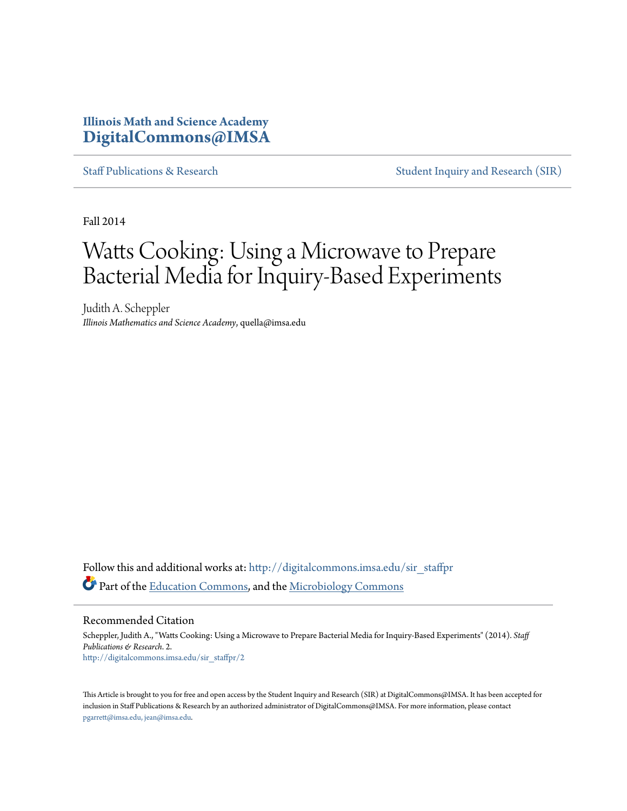## **Illinois Math and Science Academy [DigitalCommons@IMSA](http://digitalcommons.imsa.edu?utm_source=digitalcommons.imsa.edu%2Fsir_staffpr%2F2&utm_medium=PDF&utm_campaign=PDFCoverPages)**

[Staff Publications & Research](http://digitalcommons.imsa.edu/sir_staffpr?utm_source=digitalcommons.imsa.edu%2Fsir_staffpr%2F2&utm_medium=PDF&utm_campaign=PDFCoverPages) [Student Inquiry and Research \(SIR\)](http://digitalcommons.imsa.edu/sir?utm_source=digitalcommons.imsa.edu%2Fsir_staffpr%2F2&utm_medium=PDF&utm_campaign=PDFCoverPages)

Fall 2014

# Watts Cooking: Using a Microwave to Prepare Bacterial Media for Inquiry-Based Experiments

Judith A. Scheppler *Illinois Mathematics and Science Academy*, quella@imsa.edu

Follow this and additional works at: [http://digitalcommons.imsa.edu/sir\\_staffpr](http://digitalcommons.imsa.edu/sir_staffpr?utm_source=digitalcommons.imsa.edu%2Fsir_staffpr%2F2&utm_medium=PDF&utm_campaign=PDFCoverPages) Part of the [Education Commons](http://network.bepress.com/hgg/discipline/784?utm_source=digitalcommons.imsa.edu%2Fsir_staffpr%2F2&utm_medium=PDF&utm_campaign=PDFCoverPages), and the [Microbiology Commons](http://network.bepress.com/hgg/discipline/48?utm_source=digitalcommons.imsa.edu%2Fsir_staffpr%2F2&utm_medium=PDF&utm_campaign=PDFCoverPages)

Recommended Citation

Scheppler, Judith A., "Watts Cooking: Using a Microwave to Prepare Bacterial Media for Inquiry-Based Experiments" (2014). *Staff Publications & Research*. 2. [http://digitalcommons.imsa.edu/sir\\_staffpr/2](http://digitalcommons.imsa.edu/sir_staffpr/2?utm_source=digitalcommons.imsa.edu%2Fsir_staffpr%2F2&utm_medium=PDF&utm_campaign=PDFCoverPages)

This Article is brought to you for free and open access by the Student Inquiry and Research (SIR) at DigitalCommons@IMSA. It has been accepted for inclusion in Staff Publications & Research by an authorized administrator of DigitalCommons@IMSA. For more information, please contact [pgarrett@imsa.edu, jean@imsa.edu.](mailto:pgarrett@imsa.edu,%20jean@imsa.edu)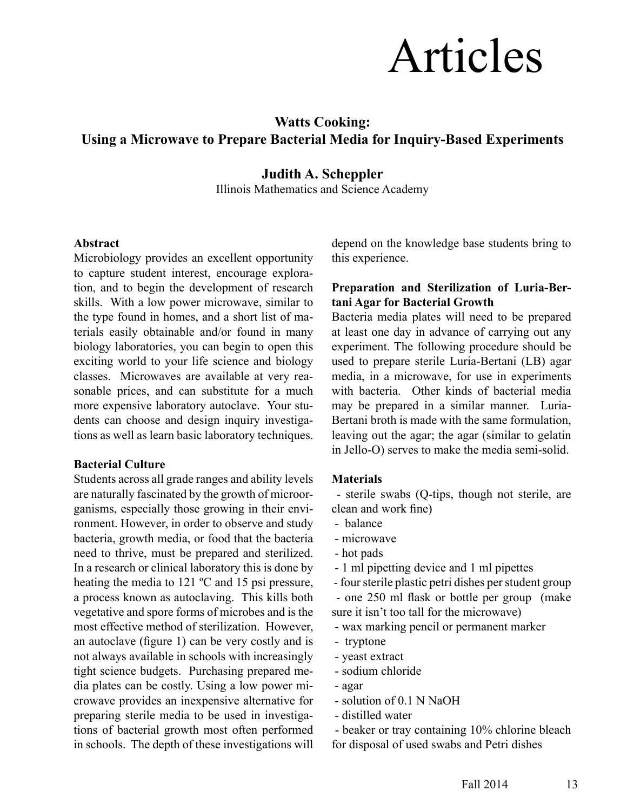# Articles

# **Watts Cooking: Using a Microwave to Prepare Bacterial Media for Inquiry-Based Experiments**

### **Judith A. Scheppler**

Illinois Mathematics and Science Academy

#### **Abstract**

Microbiology provides an excellent opportunity to capture student interest, encourage exploration, and to begin the development of research skills. With a low power microwave, similar to the type found in homes, and a short list of materials easily obtainable and/or found in many biology laboratories, you can begin to open this exciting world to your life science and biology classes. Microwaves are available at very reasonable prices, and can substitute for a much more expensive laboratory autoclave. Your students can choose and design inquiry investigations as well as learn basic laboratory techniques.

#### **Bacterial Culture**

Students across all grade ranges and ability levels are naturally fascinated by the growth of microorganisms, especially those growing in their environment. However, in order to observe and study bacteria, growth media, or food that the bacteria need to thrive, must be prepared and sterilized. In a research or clinical laboratory this is done by heating the media to 121 ºC and 15 psi pressure, a process known as autoclaving. This kills both vegetative and spore forms of microbes and is the most effective method of sterilization. However, an autoclave (figure 1) can be very costly and is not always available in schools with increasingly tight science budgets. Purchasing prepared media plates can be costly. Using a low power microwave provides an inexpensive alternative for preparing sterile media to be used in investigations of bacterial growth most often performed in schools. The depth of these investigations will

depend on the knowledge base students bring to this experience.

#### **Preparation and Sterilization of Luria-Bertani Agar for Bacterial Growth**

Bacteria media plates will need to be prepared at least one day in advance of carrying out any experiment. The following procedure should be used to prepare sterile Luria-Bertani (LB) agar media, in a microwave, for use in experiments with bacteria. Other kinds of bacterial media may be prepared in a similar manner. Luria-Bertani broth is made with the same formulation, leaving out the agar; the agar (similar to gelatin in Jello-O) serves to make the media semi-solid.

#### **Materials**

 - sterile swabs (Q-tips, though not sterile, are clean and work fine)

- balance
- microwave
- hot pads
- 1 ml pipetting device and 1 ml pipettes
- four sterile plastic petri dishes per student group

 - one 250 ml flask or bottle per group (make sure it isn't too tall for the microwave)

- wax marking pencil or permanent marker
- tryptone
- yeast extract
- sodium chloride
- agar
- solution of 0.1 N NaOH
- distilled water

 - beaker or tray containing 10% chlorine bleach for disposal of used swabs and Petri dishes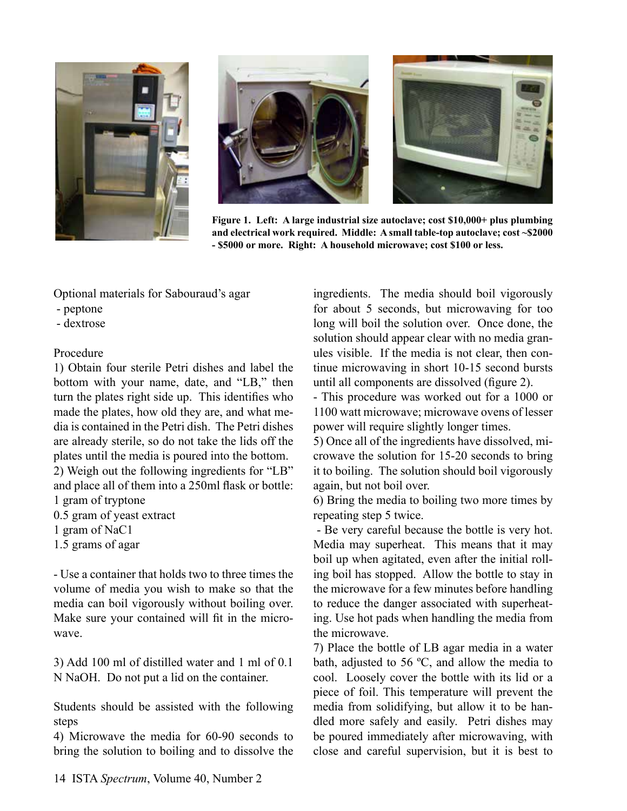





**Figure 1. Left: A large industrial size autoclave; cost \$10,000+ plus plumbing and electrical work required. Middle: A small table-top autoclave; cost ~\$2000 - \$5000 or more. Right: A household microwave; cost \$100 or less.**

Optional materials for Sabouraud's agar

- peptone
- dextrose

#### Procedure

1) Obtain four sterile Petri dishes and label the bottom with your name, date, and "LB," then turn the plates right side up. This identifies who made the plates, how old they are, and what media is contained in the Petri dish. The Petri dishes are already sterile, so do not take the lids off the plates until the media is poured into the bottom. 2) Weigh out the following ingredients for "LB"

and place all of them into a 250ml flask or bottle:

1 gram of tryptone

- 0.5 gram of yeast extract
- 1 gram of NaC1
- 1.5 grams of agar

- Use a container that holds two to three times the volume of media you wish to make so that the media can boil vigorously without boiling over. Make sure your contained will fit in the microwave.

3) Add 100 ml of distilled water and 1 ml of 0.1 N NaOH. Do not put a lid on the container.

Students should be assisted with the following steps

4) Microwave the media for 60-90 seconds to bring the solution to boiling and to dissolve the ingredients. The media should boil vigorously for about 5 seconds, but microwaving for too long will boil the solution over. Once done, the solution should appear clear with no media granules visible. If the media is not clear, then continue microwaving in short 10-15 second bursts until all components are dissolved (figure 2).

- This procedure was worked out for a 1000 or 1100 watt microwave; microwave ovens of lesser power will require slightly longer times.

5) Once all of the ingredients have dissolved, microwave the solution for 15-20 seconds to bring it to boiling. The solution should boil vigorously again, but not boil over.

6) Bring the media to boiling two more times by repeating step 5 twice.

 - Be very careful because the bottle is very hot. Media may superheat. This means that it may boil up when agitated, even after the initial rolling boil has stopped. Allow the bottle to stay in the microwave for a few minutes before handling to reduce the danger associated with superheating. Use hot pads when handling the media from the microwave.

7) Place the bottle of LB agar media in a water bath, adjusted to 56 ºC, and allow the media to cool. Loosely cover the bottle with its lid or a piece of foil. This temperature will prevent the media from solidifying, but allow it to be handled more safely and easily. Petri dishes may be poured immediately after microwaving, with close and careful supervision, but it is best to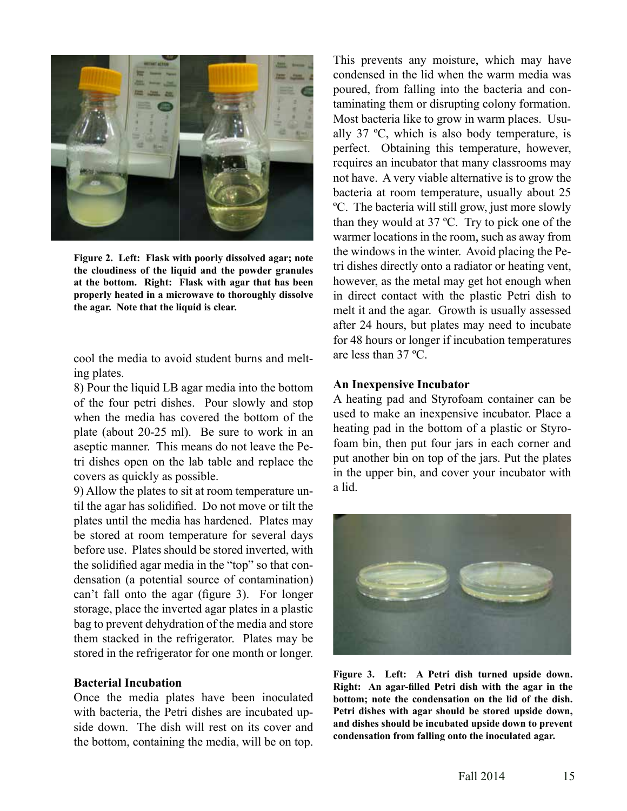

**Figure 2. Left: Flask with poorly dissolved agar; note the cloudiness of the liquid and the powder granules at the bottom. Right: Flask with agar that has been properly heated in a microwave to thoroughly dissolve the agar. Note that the liquid is clear.**

cool the media to avoid student burns and melting plates.

8) Pour the liquid LB agar media into the bottom of the four petri dishes. Pour slowly and stop when the media has covered the bottom of the plate (about 20-25 ml). Be sure to work in an aseptic manner. This means do not leave the Petri dishes open on the lab table and replace the covers as quickly as possible.

9) Allow the plates to sit at room temperature until the agar has solidified. Do not move or tilt the plates until the media has hardened. Plates may be stored at room temperature for several days before use. Plates should be stored inverted, with the solidified agar media in the "top" so that condensation (a potential source of contamination) can't fall onto the agar (figure 3). For longer storage, place the inverted agar plates in a plastic bag to prevent dehydration of the media and store them stacked in the refrigerator. Plates may be stored in the refrigerator for one month or longer.

#### **Bacterial Incubation**

Once the media plates have been inoculated with bacteria, the Petri dishes are incubated upside down. The dish will rest on its cover and the bottom, containing the media, will be on top.

This prevents any moisture, which may have condensed in the lid when the warm media was poured, from falling into the bacteria and contaminating them or disrupting colony formation. Most bacteria like to grow in warm places. Usually 37 ºC, which is also body temperature, is perfect. Obtaining this temperature, however, requires an incubator that many classrooms may not have. A very viable alternative is to grow the bacteria at room temperature, usually about 25 ºC. The bacteria will still grow, just more slowly than they would at 37 ºC. Try to pick one of the warmer locations in the room, such as away from the windows in the winter. Avoid placing the Petri dishes directly onto a radiator or heating vent, however, as the metal may get hot enough when in direct contact with the plastic Petri dish to melt it and the agar. Growth is usually assessed after 24 hours, but plates may need to incubate for 48 hours or longer if incubation temperatures are less than 37 ºC.

#### **An Inexpensive Incubator**

A heating pad and Styrofoam container can be used to make an inexpensive incubator. Place a heating pad in the bottom of a plastic or Styrofoam bin, then put four jars in each corner and put another bin on top of the jars. Put the plates in the upper bin, and cover your incubator with a lid.



**Figure 3. Left: A Petri dish turned upside down. Right: An agar-filled Petri dish with the agar in the bottom; note the condensation on the lid of the dish. Petri dishes with agar should be stored upside down, and dishes should be incubated upside down to prevent condensation from falling onto the inoculated agar.**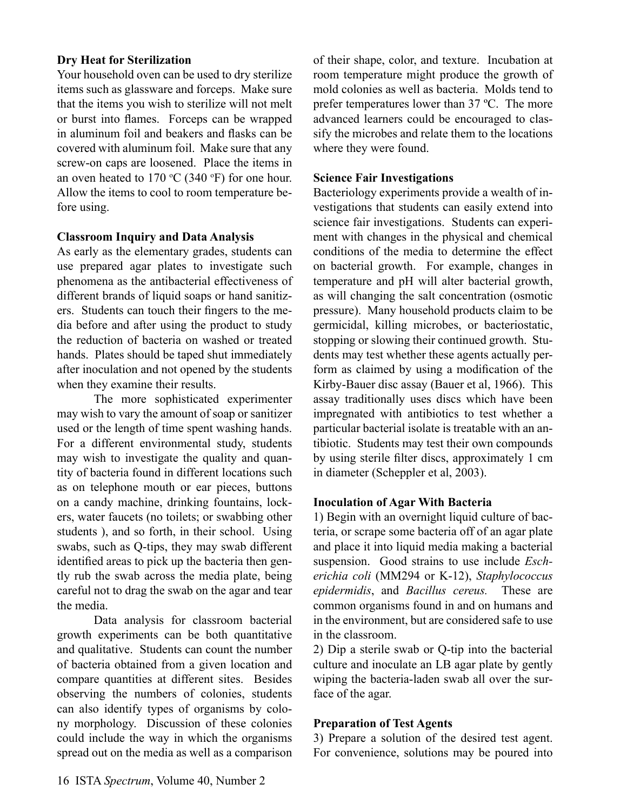#### **Dry Heat for Sterilization**

Your household oven can be used to dry sterilize items such as glassware and forceps. Make sure that the items you wish to sterilize will not melt or burst into flames. Forceps can be wrapped in aluminum foil and beakers and flasks can be covered with aluminum foil. Make sure that any screw-on caps are loosened. Place the items in an oven heated to  $170 \degree C$  (340  $\degree F$ ) for one hour. Allow the items to cool to room temperature before using.

#### **Classroom Inquiry and Data Analysis**

As early as the elementary grades, students can use prepared agar plates to investigate such phenomena as the antibacterial effectiveness of different brands of liquid soaps or hand sanitizers. Students can touch their fingers to the media before and after using the product to study the reduction of bacteria on washed or treated hands. Plates should be taped shut immediately after inoculation and not opened by the students when they examine their results.

The more sophisticated experimenter may wish to vary the amount of soap or sanitizer used or the length of time spent washing hands. For a different environmental study, students may wish to investigate the quality and quantity of bacteria found in different locations such as on telephone mouth or ear pieces, buttons on a candy machine, drinking fountains, lockers, water faucets (no toilets; or swabbing other students ), and so forth, in their school. Using swabs, such as Q-tips, they may swab different identified areas to pick up the bacteria then gently rub the swab across the media plate, being careful not to drag the swab on the agar and tear the media.

Data analysis for classroom bacterial growth experiments can be both quantitative and qualitative. Students can count the number of bacteria obtained from a given location and compare quantities at different sites. Besides observing the numbers of colonies, students can also identify types of organisms by colony morphology. Discussion of these colonies could include the way in which the organisms spread out on the media as well as a comparison

of their shape, color, and texture. Incubation at room temperature might produce the growth of mold colonies as well as bacteria. Molds tend to prefer temperatures lower than 37 ºC. The more advanced learners could be encouraged to classify the microbes and relate them to the locations where they were found.

#### **Science Fair Investigations**

Bacteriology experiments provide a wealth of investigations that students can easily extend into science fair investigations. Students can experiment with changes in the physical and chemical conditions of the media to determine the effect on bacterial growth. For example, changes in temperature and pH will alter bacterial growth, as will changing the salt concentration (osmotic pressure). Many household products claim to be germicidal, killing microbes, or bacteriostatic, stopping or slowing their continued growth. Students may test whether these agents actually perform as claimed by using a modification of the Kirby-Bauer disc assay (Bauer et al, 1966). This assay traditionally uses discs which have been impregnated with antibiotics to test whether a particular bacterial isolate is treatable with an antibiotic. Students may test their own compounds by using sterile filter discs, approximately 1 cm in diameter (Scheppler et al, 2003).

#### **Inoculation of Agar With Bacteria**

1) Begin with an overnight liquid culture of bacteria, or scrape some bacteria off of an agar plate and place it into liquid media making a bacterial suspension. Good strains to use include *Escherichia coli* (MM294 or K-12), *Staphylococcus epidermidis*, and *Bacillus cereus.* These are common organisms found in and on humans and in the environment, but are considered safe to use in the classroom.

2) Dip a sterile swab or Q-tip into the bacterial culture and inoculate an LB agar plate by gently wiping the bacteria-laden swab all over the surface of the agar.

#### **Preparation of Test Agents**

3) Prepare a solution of the desired test agent. For convenience, solutions may be poured into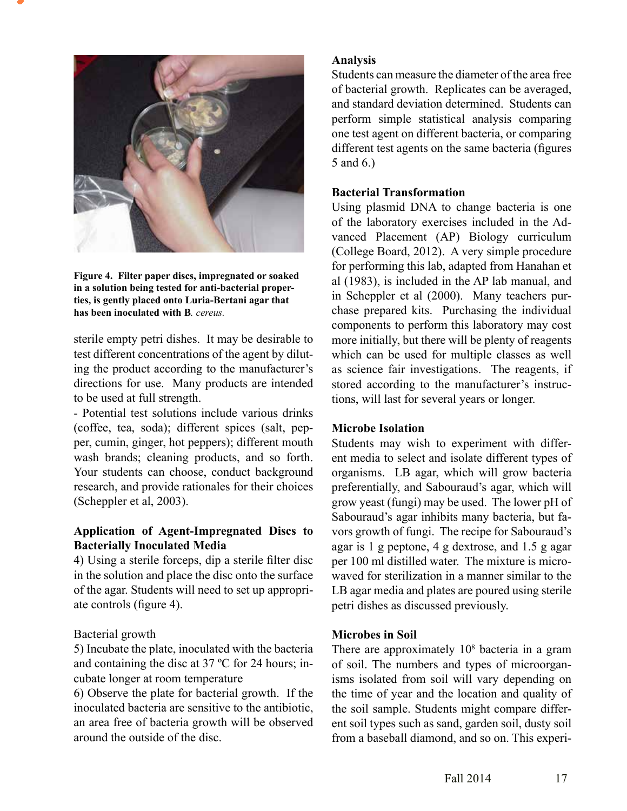

**Figure 4. Filter paper discs, impregnated or soaked in a solution being tested for anti-bacterial properties, is gently placed onto Luria-Bertani agar that has been inoculated with B***. cereus.*

sterile empty petri dishes. It may be desirable to test different concentrations of the agent by diluting the product according to the manufacturer's directions for use. Many products are intended to be used at full strength.

- Potential test solutions include various drinks (coffee, tea, soda); different spices (salt, pepper, cumin, ginger, hot peppers); different mouth wash brands; cleaning products, and so forth. Your students can choose, conduct background research, and provide rationales for their choices (Scheppler et al, 2003).

#### **Application of Agent-Impregnated Discs to Bacterially Inoculated Media**

4) Using a sterile forceps, dip a sterile filter disc in the solution and place the disc onto the surface of the agar. Students will need to set up appropriate controls (figure 4).

#### Bacterial growth

5) Incubate the plate, inoculated with the bacteria and containing the disc at 37 ºC for 24 hours; incubate longer at room temperature

6) Observe the plate for bacterial growth. If the inoculated bacteria are sensitive to the antibiotic, an area free of bacteria growth will be observed around the outside of the disc.

#### **Analysis**

Students can measure the diameter of the area free of bacterial growth. Replicates can be averaged, and standard deviation determined. Students can perform simple statistical analysis comparing one test agent on different bacteria, or comparing different test agents on the same bacteria (figures 5 and 6.)

#### **Bacterial Transformation**

Using plasmid DNA to change bacteria is one of the laboratory exercises included in the Advanced Placement (AP) Biology curriculum (College Board, 2012). A very simple procedure for performing this lab, adapted from Hanahan et al (1983), is included in the AP lab manual, and in Scheppler et al (2000). Many teachers purchase prepared kits. Purchasing the individual components to perform this laboratory may cost more initially, but there will be plenty of reagents which can be used for multiple classes as well as science fair investigations. The reagents, if stored according to the manufacturer's instructions, will last for several years or longer.

#### **Microbe Isolation**

Students may wish to experiment with different media to select and isolate different types of organisms. LB agar, which will grow bacteria preferentially, and Sabouraud's agar, which will grow yeast (fungi) may be used. The lower pH of Sabouraud's agar inhibits many bacteria, but favors growth of fungi. The recipe for Sabouraud's agar is 1 g peptone, 4 g dextrose, and 1.5 g agar per 100 ml distilled water. The mixture is microwaved for sterilization in a manner similar to the LB agar media and plates are poured using sterile petri dishes as discussed previously.

#### **Microbes in Soil**

There are approximately 10<sup>8</sup> bacteria in a gram of soil. The numbers and types of microorganisms isolated from soil will vary depending on the time of year and the location and quality of the soil sample. Students might compare different soil types such as sand, garden soil, dusty soil from a baseball diamond, and so on. This experi-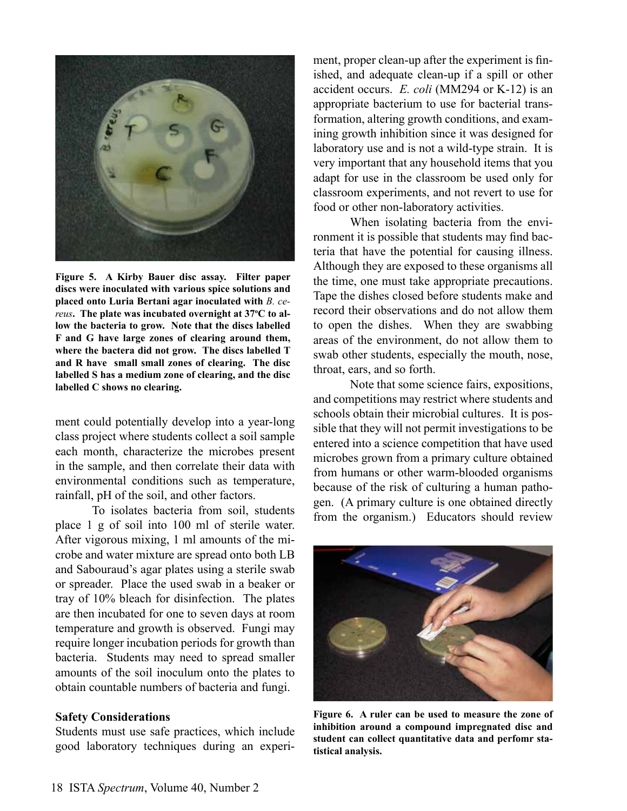

**Figure 5. A Kirby Bauer disc assay. Filter paper discs were inoculated with various spice solutions and placed onto Luria Bertani agar inoculated with** *B. cereus*. The plate was incubated overnight at 37°C to al**low the bacteria to grow. Note that the discs labelled F and G have large zones of clearing around them, where the bactera did not grow. The discs labelled T and R have small small zones of clearing. The disc labelled S has a medium zone of clearing, and the disc labelled C shows no clearing.**

ment could potentially develop into a year-long class project where students collect a soil sample each month, characterize the microbes present in the sample, and then correlate their data with environmental conditions such as temperature, rainfall, pH of the soil, and other factors.

To isolates bacteria from soil, students place 1 g of soil into 100 ml of sterile water. After vigorous mixing, 1 ml amounts of the microbe and water mixture are spread onto both LB and Sabouraud's agar plates using a sterile swab or spreader. Place the used swab in a beaker or tray of 10% bleach for disinfection. The plates are then incubated for one to seven days at room temperature and growth is observed. Fungi may require longer incubation periods for growth than bacteria. Students may need to spread smaller amounts of the soil inoculum onto the plates to obtain countable numbers of bacteria and fungi.

#### **Safety Considerations**

Students must use safe practices, which include good laboratory techniques during an experiment, proper clean-up after the experiment is finished, and adequate clean-up if a spill or other accident occurs. *E. coli* (MM294 or K-12) is an appropriate bacterium to use for bacterial transformation, altering growth conditions, and examining growth inhibition since it was designed for laboratory use and is not a wild-type strain. It is very important that any household items that you adapt for use in the classroom be used only for classroom experiments, and not revert to use for food or other non-laboratory activities.

When isolating bacteria from the environment it is possible that students may find bacteria that have the potential for causing illness. Although they are exposed to these organisms all the time, one must take appropriate precautions. Tape the dishes closed before students make and record their observations and do not allow them to open the dishes. When they are swabbing areas of the environment, do not allow them to swab other students, especially the mouth, nose, throat, ears, and so forth.

Note that some science fairs, expositions, and competitions may restrict where students and schools obtain their microbial cultures. It is possible that they will not permit investigations to be entered into a science competition that have used microbes grown from a primary culture obtained from humans or other warm-blooded organisms because of the risk of culturing a human pathogen. (A primary culture is one obtained directly from the organism.) Educators should review



**Figure 6. A ruler can be used to measure the zone of inhibition around a compound impregnated disc and student can collect quantitative data and perfomr statistical analysis.**